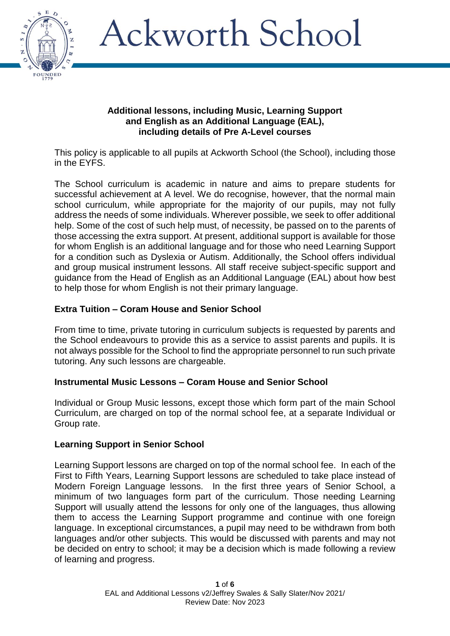

#### **Additional lessons, including Music, Learning Support and English as an Additional Language (EAL), including details of Pre A-Level courses**

This policy is applicable to all pupils at Ackworth School (the School), including those in the EYFS.

The School curriculum is academic in nature and aims to prepare students for successful achievement at A level. We do recognise, however, that the normal main school curriculum, while appropriate for the majority of our pupils, may not fully address the needs of some individuals. Wherever possible, we seek to offer additional help. Some of the cost of such help must, of necessity, be passed on to the parents of those accessing the extra support. At present, additional support is available for those for whom English is an additional language and for those who need Learning Support for a condition such as Dyslexia or Autism. Additionally, the School offers individual and group musical instrument lessons. All staff receive subject-specific support and guidance from the Head of English as an Additional Language (EAL) about how best to help those for whom English is not their primary language.

### **Extra Tuition – Coram House and Senior School**

From time to time, private tutoring in curriculum subjects is requested by parents and the School endeavours to provide this as a service to assist parents and pupils. It is not always possible for the School to find the appropriate personnel to run such private tutoring. Any such lessons are chargeable.

### **Instrumental Music Lessons – Coram House and Senior School**

Individual or Group Music lessons, except those which form part of the main School Curriculum, are charged on top of the normal school fee, at a separate Individual or Group rate.

#### **Learning Support in Senior School**

Learning Support lessons are charged on top of the normal school fee. In each of the First to Fifth Years, Learning Support lessons are scheduled to take place instead of Modern Foreign Language lessons. In the first three years of Senior School, a minimum of two languages form part of the curriculum. Those needing Learning Support will usually attend the lessons for only one of the languages, thus allowing them to access the Learning Support programme and continue with one foreign language. In exceptional circumstances, a pupil may need to be withdrawn from both languages and/or other subjects. This would be discussed with parents and may not be decided on entry to school; it may be a decision which is made following a review of learning and progress.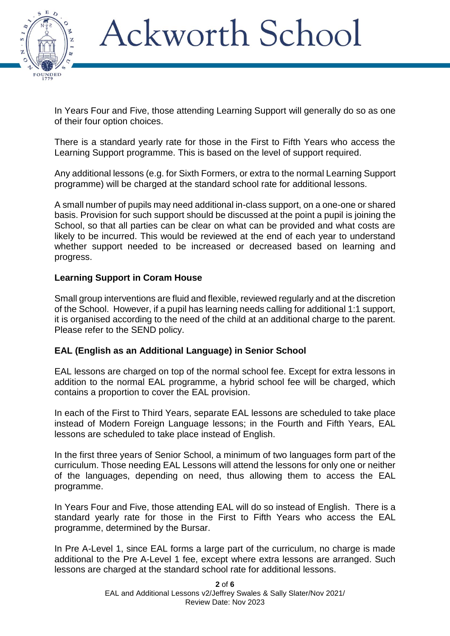

In Years Four and Five, those attending Learning Support will generally do so as one of their four option choices.

There is a standard yearly rate for those in the First to Fifth Years who access the Learning Support programme. This is based on the level of support required.

Any additional lessons (e.g. for Sixth Formers, or extra to the normal Learning Support programme) will be charged at the standard school rate for additional lessons.

A small number of pupils may need additional in-class support, on a one-one or shared basis. Provision for such support should be discussed at the point a pupil is joining the School, so that all parties can be clear on what can be provided and what costs are likely to be incurred. This would be reviewed at the end of each year to understand whether support needed to be increased or decreased based on learning and progress.

### **Learning Support in Coram House**

Small group interventions are fluid and flexible, reviewed regularly and at the discretion of the School. However, if a pupil has learning needs calling for additional 1:1 support, it is organised according to the need of the child at an additional charge to the parent. Please refer to the SEND policy.

#### **EAL (English as an Additional Language) in Senior School**

EAL lessons are charged on top of the normal school fee. Except for extra lessons in addition to the normal EAL programme, a hybrid school fee will be charged, which contains a proportion to cover the EAL provision.

In each of the First to Third Years, separate EAL lessons are scheduled to take place instead of Modern Foreign Language lessons; in the Fourth and Fifth Years, EAL lessons are scheduled to take place instead of English.

In the first three years of Senior School, a minimum of two languages form part of the curriculum. Those needing EAL Lessons will attend the lessons for only one or neither of the languages, depending on need, thus allowing them to access the EAL programme.

In Years Four and Five, those attending EAL will do so instead of English. There is a standard yearly rate for those in the First to Fifth Years who access the EAL programme, determined by the Bursar.

In Pre A-Level 1, since EAL forms a large part of the curriculum, no charge is made additional to the Pre A-Level 1 fee, except where extra lessons are arranged. Such lessons are charged at the standard school rate for additional lessons.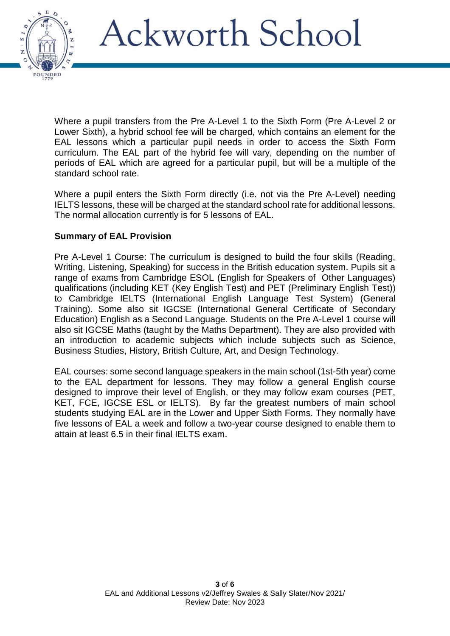

Where a pupil transfers from the Pre A-Level 1 to the Sixth Form (Pre A-Level 2 or Lower Sixth), a hybrid school fee will be charged, which contains an element for the EAL lessons which a particular pupil needs in order to access the Sixth Form curriculum. The EAL part of the hybrid fee will vary, depending on the number of periods of EAL which are agreed for a particular pupil, but will be a multiple of the standard school rate.

Where a pupil enters the Sixth Form directly (i.e. not via the Pre A-Level) needing IELTS lessons, these will be charged at the standard school rate for additional lessons. The normal allocation currently is for 5 lessons of EAL.

### **Summary of EAL Provision**

Pre A-Level 1 Course: The curriculum is designed to build the four skills (Reading, Writing, Listening, Speaking) for success in the British education system. Pupils sit a range of exams from Cambridge ESOL (English for Speakers of Other Languages) qualifications (including KET (Key English Test) and PET (Preliminary English Test)) to Cambridge IELTS (International English Language Test System) (General Training). Some also sit IGCSE (International General Certificate of Secondary Education) English as a Second Language. Students on the Pre A-Level 1 course will also sit IGCSE Maths (taught by the Maths Department). They are also provided with an introduction to academic subjects which include subjects such as Science, Business Studies, History, British Culture, Art, and Design Technology.

EAL courses: some second language speakers in the main school (1st-5th year) come to the EAL department for lessons. They may follow a general English course designed to improve their level of English, or they may follow exam courses (PET, KET, FCE, IGCSE ESL or IELTS). By far the greatest numbers of main school students studying EAL are in the Lower and Upper Sixth Forms. They normally have five lessons of EAL a week and follow a two-year course designed to enable them to attain at least 6.5 in their final IELTS exam.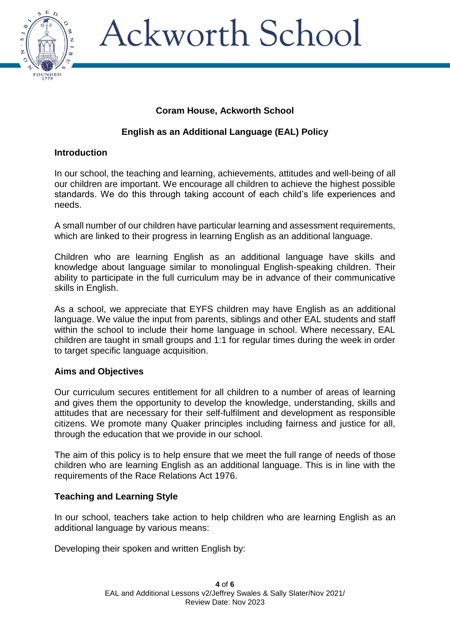

### **Coram House, Ackworth School**

## **English as an Additional Language (EAL) Policy**

### **Introduction**

In our school, the teaching and learning, achievements, attitudes and well-being of all our children are important. We encourage all children to achieve the highest possible standards. We do this through taking account of each child's life experiences and needs.

A small number of our children have particular learning and assessment requirements, which are linked to their progress in learning English as an additional language.

Children who are learning English as an additional language have skills and knowledge about language similar to monolingual English-speaking children. Their ability to participate in the full curriculum may be in advance of their communicative skills in English.

As a school, we appreciate that EYFS children may have English as an additional language. We value the input from parents, siblings and other EAL students and staff within the school to include their home language in school. Where necessary, EAL children are taught in small groups and 1:1 for regular times during the week in order to target specific language acquisition.

#### **Aims and Objectives**

Our curriculum secures entitlement for all children to a number of areas of learning and gives them the opportunity to develop the knowledge, understanding, skills and attitudes that are necessary for their self-fulfilment and development as responsible citizens. We promote many Quaker principles including fairness and justice for all, through the education that we provide in our school.

The aim of this policy is to help ensure that we meet the full range of needs of those children who are learning English as an additional language. This is in line with the requirements of the Race Relations Act 1976.

#### **Teaching and Learning Style**

In our school, teachers take action to help children who are learning English as an additional language by various means:

Developing their spoken and written English by: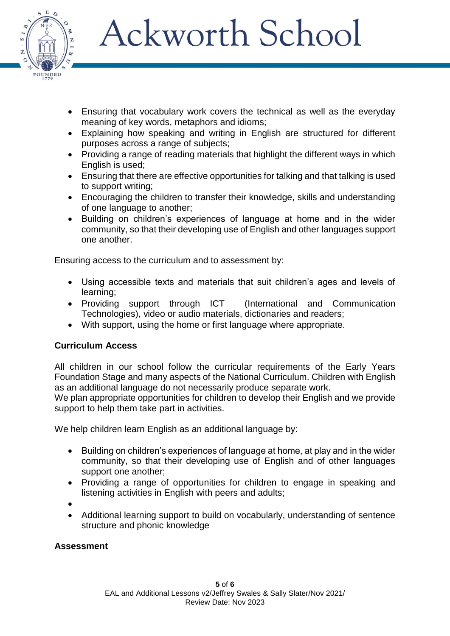

- Ensuring that vocabulary work covers the technical as well as the everyday meaning of key words, metaphors and idioms;
- Explaining how speaking and writing in English are structured for different purposes across a range of subjects;
- Providing a range of reading materials that highlight the different ways in which English is used;
- Ensuring that there are effective opportunities for talking and that talking is used to support writing;
- Encouraging the children to transfer their knowledge, skills and understanding of one language to another;
- Building on children's experiences of language at home and in the wider community, so that their developing use of English and other languages support one another.

Ensuring access to the curriculum and to assessment by:

- Using accessible texts and materials that suit children's ages and levels of learning;
- Providing support through ICT (International and Communication Technologies), video or audio materials, dictionaries and readers;
- With support, using the home or first language where appropriate.

### **Curriculum Access**

All children in our school follow the curricular requirements of the Early Years Foundation Stage and many aspects of the National Curriculum. Children with English as an additional language do not necessarily produce separate work.

We plan appropriate opportunities for children to develop their English and we provide support to help them take part in activities.

We help children learn English as an additional language by:

- Building on children's experiences of language at home, at play and in the wider community, so that their developing use of English and of other languages support one another;
- Providing a range of opportunities for children to engage in speaking and listening activities in English with peers and adults;
- $\bullet$
- Additional learning support to build on vocabularly, understanding of sentence structure and phonic knowledge

### **Assessment**